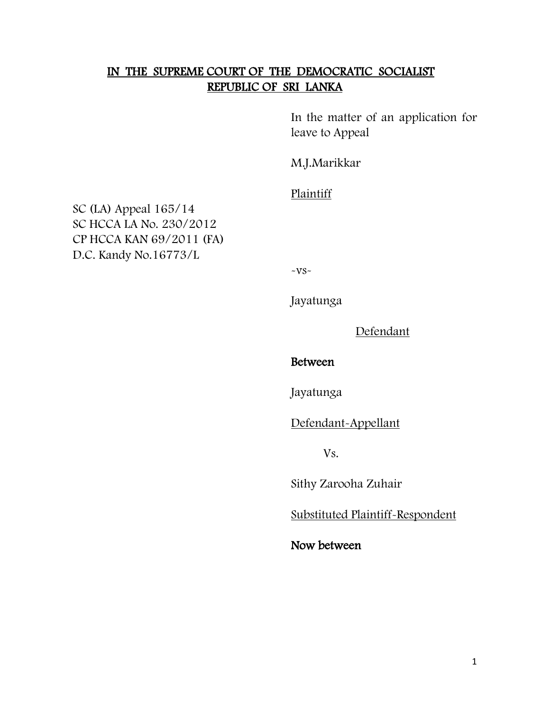## IN THE SUPREME COURT OF THE DEMOCRATIC SOCIALIST REPUBLIC OF SRI LANKA

In the matter of an application for leave to Appeal

M.J.Marikkar

Plaintiff

SC (LA) Appeal 165/14 SC HCCA LA No. 230/2012 CP HCCA KAN 69/2011 (FA) D.C. Kandy No.16773/L

 $-VS-$ 

Jayatunga

Defendant

## Between

Jayatunga

Defendant-Appellant

Vs.

Sithy Zarooha Zuhair

Substituted Plaintiff-Respondent

Now between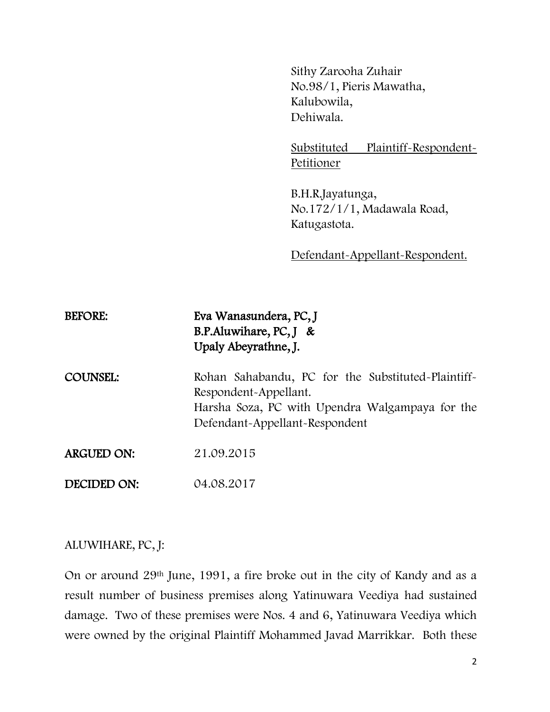Sithy Zarooha Zuhair No.98/1, Pieris Mawatha, Kalubowila, Dehiwala.

Substituted Plaintiff-Respondent-Petitioner

B.H.R.Jayatunga, No.172/1/1, Madawala Road, Katugastota.

Defendant-Appellant-Respondent.

| <b>BEFORE:</b>    | Eva Wanasundera, PC, J<br>B.P.Aluwihare, PC, $J &$<br>Upaly Abeyrathne, J.                                                                                       |
|-------------------|------------------------------------------------------------------------------------------------------------------------------------------------------------------|
| <b>COUNSEL:</b>   | Rohan Sahabandu, PC for the Substituted-Plaintiff-<br>Respondent-Appellant.<br>Harsha Soza, PC with Upendra Walgampaya for the<br>Defendant-Appellant-Respondent |
| <b>ARGUED ON:</b> | 21.09.2015                                                                                                                                                       |
| DECIDED ON:       | 04.08.2017                                                                                                                                                       |

## ALUWIHARE, PC, J:

On or around 29th June, 1991, a fire broke out in the city of Kandy and as a result number of business premises along Yatinuwara Veediya had sustained damage. Two of these premises were Nos. 4 and 6, Yatinuwara Veediya which were owned by the original Plaintiff Mohammed Javad Marrikkar. Both these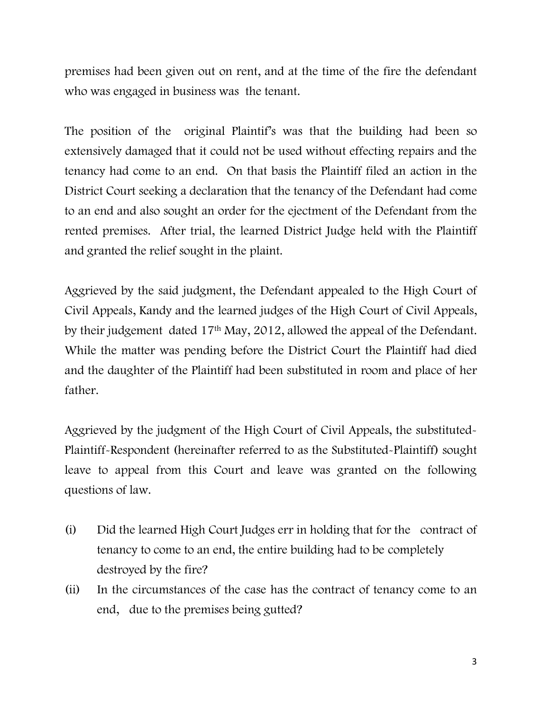premises had been given out on rent, and at the time of the fire the defendant who was engaged in business was the tenant.

The position of the original Plaintif's was that the building had been so extensively damaged that it could not be used without effecting repairs and the tenancy had come to an end. On that basis the Plaintiff filed an action in the District Court seeking a declaration that the tenancy of the Defendant had come to an end and also sought an order for the ejectment of the Defendant from the rented premises. After trial, the learned District Judge held with the Plaintiff and granted the relief sought in the plaint.

Aggrieved by the said judgment, the Defendant appealed to the High Court of Civil Appeals, Kandy and the learned judges of the High Court of Civil Appeals, by their judgement dated 17th May, 2012, allowed the appeal of the Defendant. While the matter was pending before the District Court the Plaintiff had died and the daughter of the Plaintiff had been substituted in room and place of her father.

Aggrieved by the judgment of the High Court of Civil Appeals, the substituted-Plaintiff-Respondent (hereinafter referred to as the Substituted-Plaintiff) sought leave to appeal from this Court and leave was granted on the following questions of law.

- (i) Did the learned High Court Judges err in holding that for the contract of tenancy to come to an end, the entire building had to be completely destroyed by the fire?
- (ii) In the circumstances of the case has the contract of tenancy come to an end, due to the premises being gutted?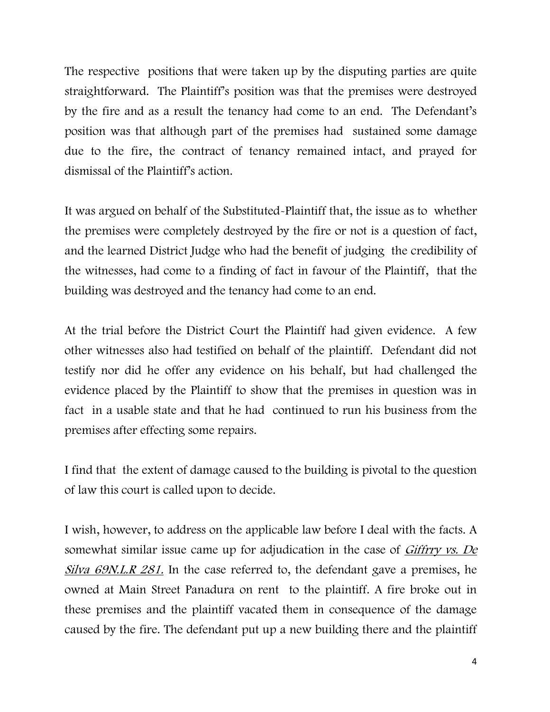The respective positions that were taken up by the disputing parties are quite straightforward. The Plaintiff's position was that the premises were destroyed by the fire and as a result the tenancy had come to an end. The Defendant's position was that although part of the premises had sustained some damage due to the fire, the contract of tenancy remained intact, and prayed for dismissal of the Plaintiff's action.

It was argued on behalf of the Substituted-Plaintiff that, the issue as to whether the premises were completely destroyed by the fire or not is a question of fact, and the learned District Judge who had the benefit of judging the credibility of the witnesses, had come to a finding of fact in favour of the Plaintiff, that the building was destroyed and the tenancy had come to an end.

At the trial before the District Court the Plaintiff had given evidence. A few other witnesses also had testified on behalf of the plaintiff. Defendant did not testify nor did he offer any evidence on his behalf, but had challenged the evidence placed by the Plaintiff to show that the premises in question was in fact in a usable state and that he had continued to run his business from the premises after effecting some repairs.

I find that the extent of damage caused to the building is pivotal to the question of law this court is called upon to decide.

I wish, however, to address on the applicable law before I deal with the facts. A somewhat similar issue came up for adjudication in the case of *Giffrry vs. De* Silva 69N.L.R 281. In the case referred to, the defendant gave a premises, he owned at Main Street Panadura on rent to the plaintiff. A fire broke out in these premises and the plaintiff vacated them in consequence of the damage caused by the fire. The defendant put up a new building there and the plaintiff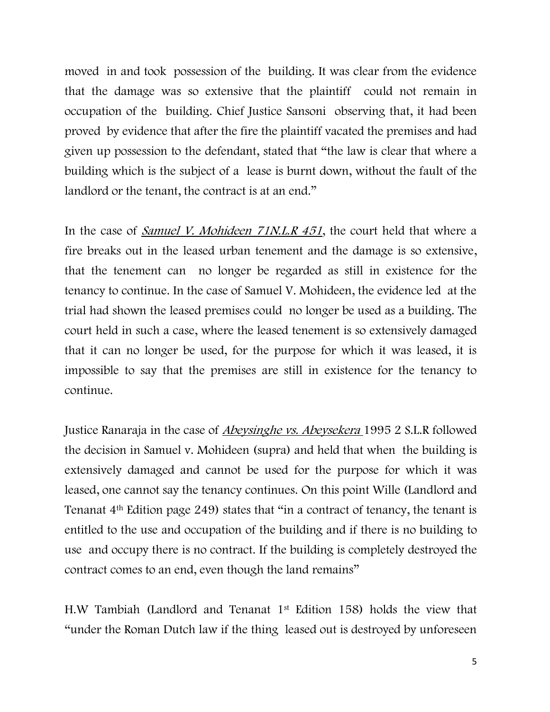moved in and took possession of the building. It was clear from the evidence that the damage was so extensive that the plaintiff could not remain in occupation of the building. Chief Justice Sansoni observing that, it had been proved by evidence that after the fire the plaintiff vacated the premises and had given up possession to the defendant, stated that "the law is clear that where a building which is the subject of a lease is burnt down, without the fault of the landlord or the tenant, the contract is at an end."

In the case of *Samuel V. Mohideen 71N.L.R 451*, the court held that where a fire breaks out in the leased urban tenement and the damage is so extensive, that the tenement can no longer be regarded as still in existence for the tenancy to continue. In the case of Samuel V. Mohideen, the evidence led at the trial had shown the leased premises could no longer be used as a building. The court held in such a case, where the leased tenement is so extensively damaged that it can no longer be used, for the purpose for which it was leased, it is impossible to say that the premises are still in existence for the tenancy to continue.

Justice Ranaraja in the case of Abeysinghe vs. Abeysekera 1995 2 S.L.R followed the decision in Samuel v. Mohideen (supra) and held that when the building is extensively damaged and cannot be used for the purpose for which it was leased, one cannot say the tenancy continues. On this point Wille (Landlord and Tenanat 4th Edition page 249) states that "in a contract of tenancy, the tenant is entitled to the use and occupation of the building and if there is no building to use and occupy there is no contract. If the building is completely destroyed the contract comes to an end, even though the land remains"

H.W Tambiah (Landlord and Tenanat 1st Edition 158) holds the view that "under the Roman Dutch law if the thing leased out is destroyed by unforeseen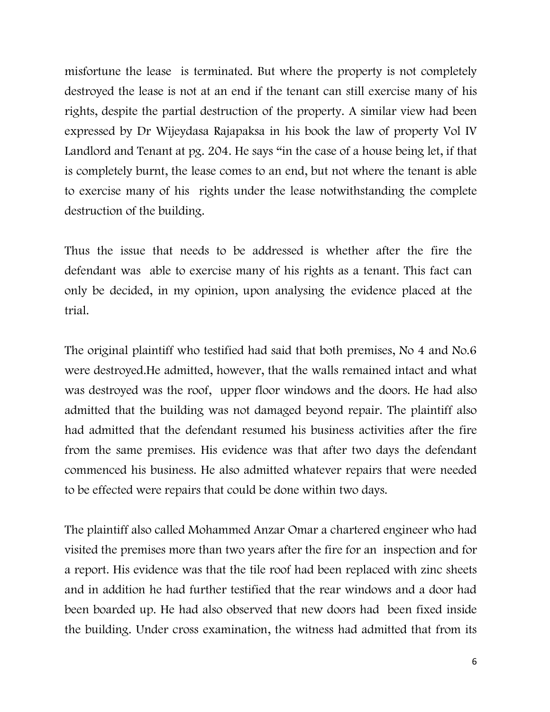misfortune the lease is terminated. But where the property is not completely destroyed the lease is not at an end if the tenant can still exercise many of his rights, despite the partial destruction of the property. A similar view had been expressed by Dr Wijeydasa Rajapaksa in his book the law of property Vol IV Landlord and Tenant at pg. 204. He says "in the case of a house being let, if that is completely burnt, the lease comes to an end, but not where the tenant is able to exercise many of his rights under the lease notwithstanding the complete destruction of the building.

Thus the issue that needs to be addressed is whether after the fire the defendant was able to exercise many of his rights as a tenant. This fact can only be decided, in my opinion, upon analysing the evidence placed at the trial.

The original plaintiff who testified had said that both premises, No 4 and No.6 were destroyed.He admitted, however, that the walls remained intact and what was destroyed was the roof, upper floor windows and the doors. He had also admitted that the building was not damaged beyond repair. The plaintiff also had admitted that the defendant resumed his business activities after the fire from the same premises. His evidence was that after two days the defendant commenced his business. He also admitted whatever repairs that were needed to be effected were repairs that could be done within two days.

The plaintiff also called Mohammed Anzar Omar a chartered engineer who had visited the premises more than two years after the fire for an inspection and for a report. His evidence was that the tile roof had been replaced with zinc sheets and in addition he had further testified that the rear windows and a door had been boarded up. He had also observed that new doors had been fixed inside the building. Under cross examination, the witness had admitted that from its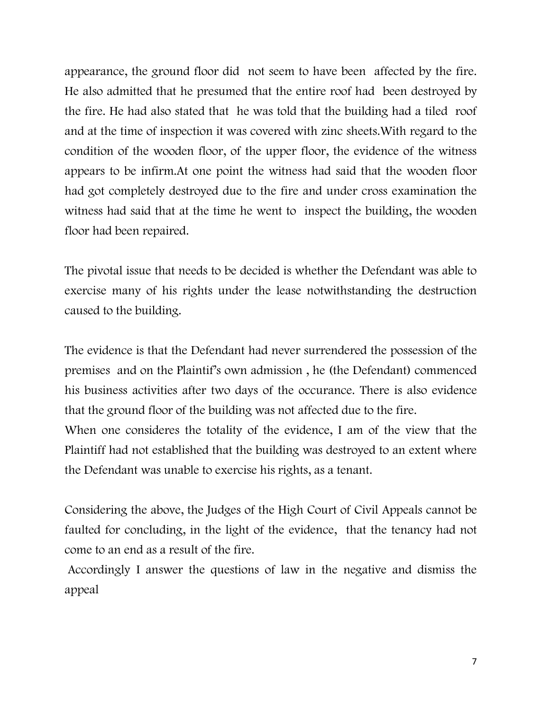appearance, the ground floor did not seem to have been affected by the fire. He also admitted that he presumed that the entire roof had been destroyed by the fire. He had also stated that he was told that the building had a tiled roof and at the time of inspection it was covered with zinc sheets.With regard to the condition of the wooden floor, of the upper floor, the evidence of the witness appears to be infirm.At one point the witness had said that the wooden floor had got completely destroyed due to the fire and under cross examination the witness had said that at the time he went to inspect the building, the wooden floor had been repaired.

The pivotal issue that needs to be decided is whether the Defendant was able to exercise many of his rights under the lease notwithstanding the destruction caused to the building.

The evidence is that the Defendant had never surrendered the possession of the premises and on the Plaintif's own admission , he (the Defendant) commenced his business activities after two days of the occurance. There is also evidence that the ground floor of the building was not affected due to the fire.

When one consideres the totality of the evidence, I am of the view that the Plaintiff had not established that the building was destroyed to an extent where the Defendant was unable to exercise his rights, as a tenant.

Considering the above, the Judges of the High Court of Civil Appeals cannot be faulted for concluding, in the light of the evidence, that the tenancy had not come to an end as a result of the fire.

Accordingly I answer the questions of law in the negative and dismiss the appeal